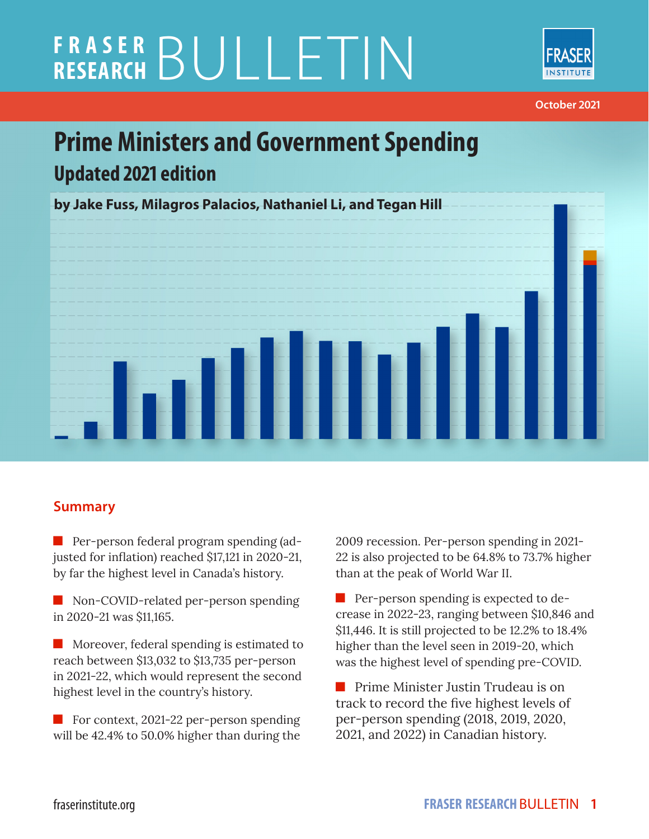# **FRASER RESEARCH** BULLETIN



**October 2021**

# **Prime Ministers and Government Spending Updated 2021 edition**



#### **Summary**

**Per-person federal program spending (ad**justed for inflation) reached \$17,121 in 2020-21, by far the highest level in Canada's history.

Non-COVID-related per-person spending in 2020-21 was \$11,165.

**Moreover, federal spending is estimated to** reach between \$13,032 to \$13,735 per-person in 2021-22, which would represent the second highest level in the country's history.

For context, 2021-22 per-person spending will be 42.4% to 50.0% higher than during the 2009 recession. Per-person spending in 2021- 22 is also projected to be 64.8% to 73.7% higher than at the peak of World War II.

**Per-person spending is expected to de**crease in 2022-23, ranging between \$10,846 and \$11,446. It is still projected to be 12.2% to 18.4% higher than the level seen in 2019-20, which was the highest level of spending pre-COVID.

**Prime Minister Justin Trudeau is on** track to record the five highest levels of per-person spending (2018, 2019, 2020, 2021, and 2022) in Canadian history.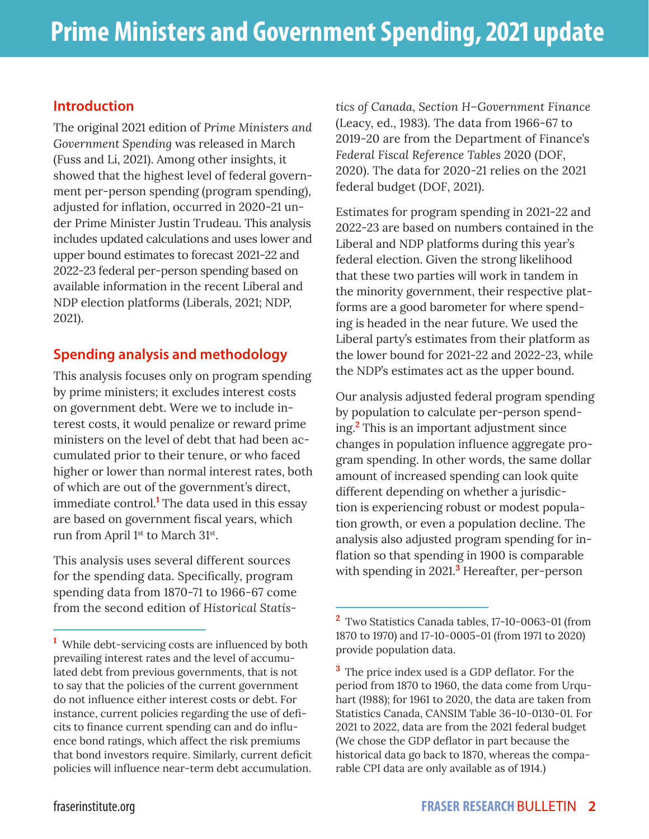#### **Introduction**

The original 2021 edition of *Prime Ministers and Government Spending* was released in March (Fuss and Li, 2021). Among other insights, it showed that the highest level of federal government per-person spending (program spending), adjusted for inflation, occurred in 2020-21 under Prime Minister Justin Trudeau. This analysis includes updated calculations and uses lower and upper bound estimates to forecast 2021-22 and 2022-23 federal per-person spending based on available information in the recent Liberal and NDP election platforms (Liberals, 2021; NDP, 2021).

#### **Spending analysis and methodology**

This analysis focuses only on program spending by prime ministers; it excludes interest costs on government debt. Were we to include interest costs, it would penalize or reward prime ministers on the level of debt that had been accumulated prior to their tenure, or who faced higher or lower than normal interest rates, both of which are out of the government's direct, immediate control.**<sup>1</sup>** The data used in this essay are based on government fiscal years, which run from April 1st to March 31st.

This analysis uses several different sources for the spending data. Specifically, program spending data from 1870-71 to 1966-67 come from the second edition of *Historical Statis-* *tics of Canada, Section H–Government Finance* (Leacy, ed., 1983). The data from 1966-67 to 2019-20 are from the Department of Finance's *Federal Fiscal Reference Tables 2*020 (DOF, 2020). The data for 2020-21 relies on the 2021 federal budget (DOF, 2021).

Estimates for program spending in 2021-22 and 2022-23 are based on numbers contained in the Liberal and NDP platforms during this year's federal election. Given the strong likelihood that these two parties will work in tandem in the minority government, their respective platforms are a good barometer for where spending is headed in the near future. We used the Liberal party's estimates from their platform as the lower bound for 2021-22 and 2022-23, while the NDP's estimates act as the upper bound.

Our analysis adjusted federal program spending by population to calculate per-person spending.**<sup>2</sup>** This is an important adjustment since changes in population influence aggregate program spending. In other words, the same dollar amount of increased spending can look quite different depending on whether a jurisdiction is experiencing robust or modest population growth, or even a population decline. The analysis also adjusted program spending for inflation so that spending in 1900 is comparable with spending in 2021.**<sup>3</sup>** Hereafter, per-person

**<sup>1</sup>** While debt-servicing costs are influenced by both prevailing interest rates and the level of accumulated debt from previous governments, that is not to say that the policies of the current government do not influence either interest costs or debt. For instance, current policies regarding the use of deficits to finance current spending can and do influence bond ratings, which affect the risk premiums that bond investors require. Similarly, current deficit policies will influence near-term debt accumulation.

**<sup>2</sup>** Two Statistics Canada tables, 17-10-0063-01 (from 1870 to 1970) and 17-10-0005-01 (from 1971 to 2020) provide population data.

**<sup>3</sup>**The price index used is a GDP deflator. For the period from 1870 to 1960, the data come from Urquhart (1988); for 1961 to 2020, the data are taken from Statistics Canada, CANSIM Table 36-10-0130-01. For 2021 to 2022, data are from the 2021 federal budget (We chose the GDP deflator in part because the historical data go back to 1870, whereas the comparable CPI data are only available as of 1914.)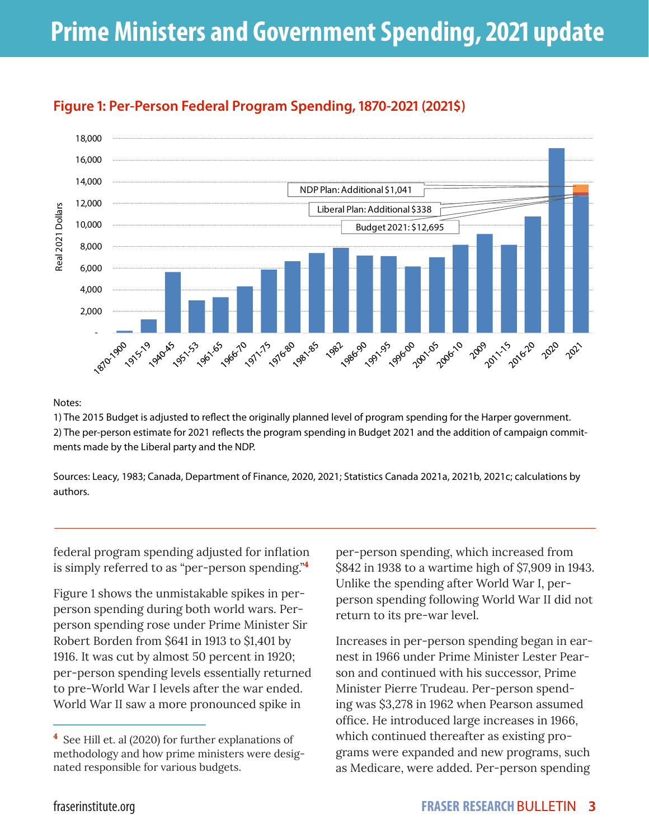

## **Figure 1: Per-Person Federal Program Spending, 1870-2021 (2021\$)**

#### Notes:

1) The 2015 Budget is adjusted to reflect the originally planned level of program spending for the Harper government. 2) The per-person estimate for 2021 reflects the program spending in Budget 2021 and the addition of campaign commitments made by the Liberal party and the NDP.

Sources: Leacy, 1983; Canada, Department of Finance, 2020, 2021; Statistics Canada 2021a, 2021b, 2021c; calculations by authors.

federal program spending adjusted for inflation is simply referred to as "per-person spending."**<sup>4</sup>**

Figure 1 shows the unmistakable spikes in perperson spending during both world wars. Perperson spending rose under Prime Minister Sir Robert Borden from \$641 in 1913 to \$1,401 by 1916. It was cut by almost 50 percent in 1920; per-person spending levels essentially returned to pre-World War I levels after the war ended. World War II saw a more pronounced spike in

per-person spending, which increased from \$842 in 1938 to a wartime high of \$7,909 in 1943. Unlike the spending after World War I, perperson spending following World War II did not return to its pre-war level.

Increases in per-person spending began in earnest in 1966 under Prime Minister Lester Pearson and continued with his successor, Prime Minister Pierre Trudeau. Per-person spending was \$3,278 in 1962 when Pearson assumed office. He introduced large increases in 1966, which continued thereafter as existing programs were expanded and new programs, such as Medicare, were added. Per-person spending

**<sup>4</sup>** See Hill et. al (2020) for further explanations of methodology and how prime ministers were designated responsible for various budgets.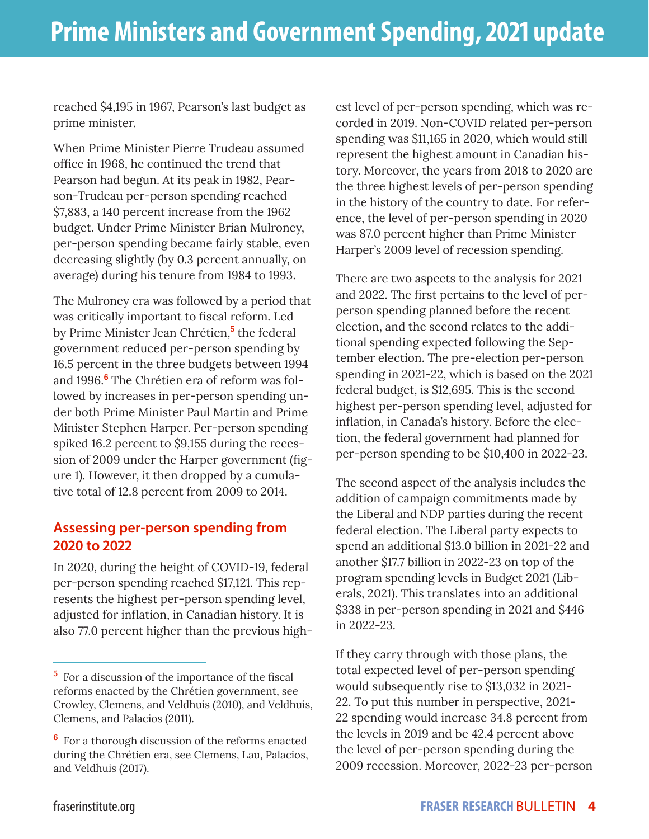reached \$4,195 in 1967, Pearson's last budget as prime minister.

When Prime Minister Pierre Trudeau assumed office in 1968, he continued the trend that Pearson had begun. At its peak in 1982, Pearson-Trudeau per-person spending reached \$7,883, a 140 percent increase from the 1962 budget. Under Prime Minister Brian Mulroney, per-person spending became fairly stable, even decreasing slightly (by 0.3 percent annually, on average) during his tenure from 1984 to 1993.

The Mulroney era was followed by a period that was critically important to fiscal reform. Led by Prime Minister Jean Chrétien,**<sup>5</sup>** the federal government reduced per-person spending by 16.5 percent in the three budgets between 1994 and 1996.**<sup>6</sup>** The Chrétien era of reform was followed by increases in per-person spending under both Prime Minister Paul Martin and Prime Minister Stephen Harper. Per-person spending spiked 16.2 percent to \$9,155 during the recession of 2009 under the Harper government (figure 1). However, it then dropped by a cumulative total of 12.8 percent from 2009 to 2014.

#### **Assessing per-person spending from 2020 to 2022**

In 2020, during the height of COVID-19, federal per-person spending reached \$17,121. This represents the highest per-person spending level, adjusted for inflation, in Canadian history. It is also 77.0 percent higher than the previous highest level of per-person spending, which was recorded in 2019. Non-COVID related per-person spending was \$11,165 in 2020, which would still represent the highest amount in Canadian history. Moreover, the years from 2018 to 2020 are the three highest levels of per-person spending in the history of the country to date. For reference, the level of per-person spending in 2020 was 87.0 percent higher than Prime Minister Harper's 2009 level of recession spending.

There are two aspects to the analysis for 2021 and 2022. The first pertains to the level of perperson spending planned before the recent election, and the second relates to the additional spending expected following the September election. The pre-election per-person spending in 2021-22, which is based on the 2021 federal budget, is \$12,695. This is the second highest per-person spending level, adjusted for inflation, in Canada's history. Before the election, the federal government had planned for per-person spending to be \$10,400 in 2022-23.

The second aspect of the analysis includes the addition of campaign commitments made by the Liberal and NDP parties during the recent federal election. The Liberal party expects to spend an additional \$13.0 billion in 2021-22 and another \$17.7 billion in 2022-23 on top of the program spending levels in Budget 2021 (Liberals, 2021). This translates into an additional \$338 in per-person spending in 2021 and \$446 in 2022-23.

If they carry through with those plans, the total expected level of per-person spending would subsequently rise to \$13,032 in 2021- 22. To put this number in perspective, 2021- 22 spending would increase 34.8 percent from the levels in 2019 and be 42.4 percent above the level of per-person spending during the 2009 recession. Moreover, 2022-23 per-person

**<sup>5</sup>** For a discussion of the importance of the fiscal reforms enacted by the Chrétien government, see Crowley, Clemens, and Veldhuis (2010), and Veldhuis, Clemens, and Palacios (2011).

**<sup>6</sup>** For a thorough discussion of the reforms enacted during the Chrétien era, see Clemens, Lau, Palacios, and Veldhuis (2017).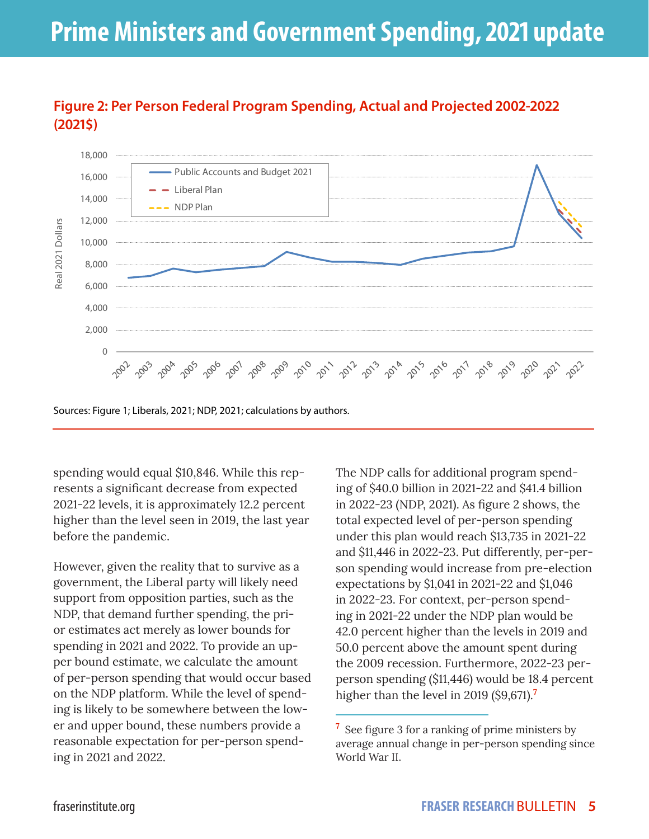

### **Figure 2: Per Person Federal Program Spending, Actual and Projected 2002-2022 (2021\$)**

Sources: Figure 1; Liberals, 2021; NDP, 2021; calculations by authors.

spending would equal \$10,846. While this represents a significant decrease from expected 2021-22 levels, it is approximately 12.2 percent higher than the level seen in 2019, the last year before the pandemic.

However, given the reality that to survive as a government, the Liberal party will likely need support from opposition parties, such as the NDP, that demand further spending, the prior estimates act merely as lower bounds for spending in 2021 and 2022. To provide an upper bound estimate, we calculate the amount of per-person spending that would occur based on the NDP platform. While the level of spending is likely to be somewhere between the lower and upper bound, these numbers provide a reasonable expectation for per-person spending in 2021 and 2022.

The NDP calls for additional program spending of \$40.0 billion in 2021-22 and \$41.4 billion in 2022-23 (NDP, 2021). As figure 2 shows, the total expected level of per-person spending under this plan would reach \$13,735 in 2021-22 and \$11,446 in 2022-23. Put differently, per-person spending would increase from pre-election expectations by \$1,041 in 2021-22 and \$1,046 in 2022-23. For context, per-person spending in 2021-22 under the NDP plan would be 42.0 percent higher than the levels in 2019 and 50.0 percent above the amount spent during the 2009 recession. Furthermore, 2022-23 perperson spending (\$11,446) would be 18.4 percent higher than the level in 2019 (\$9,671).**<sup>7</sup>**

<sup>&</sup>lt;sup>7</sup> See figure 3 for a ranking of prime ministers by average annual change in per-person spending since World War II.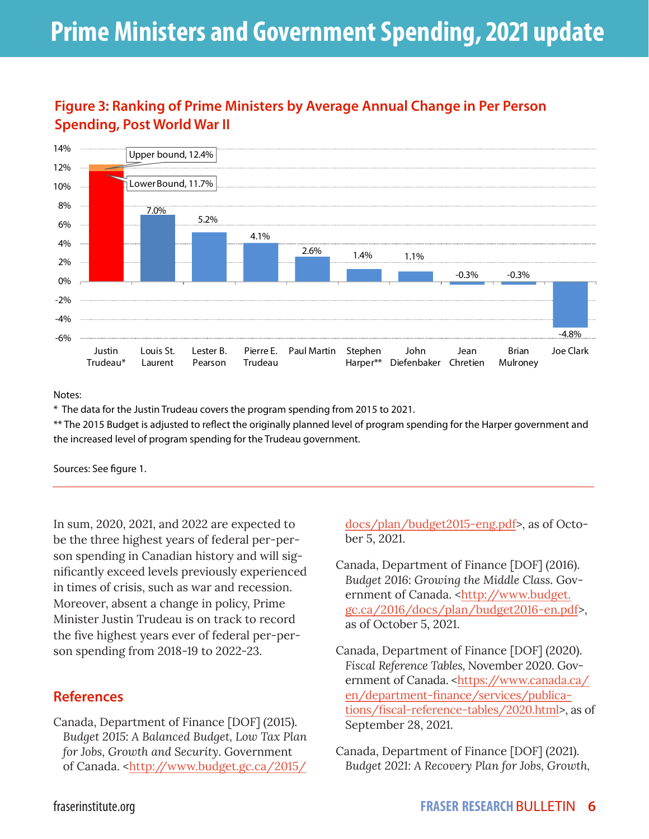### **Figure 3: Ranking of Prime Ministers by Average Annual Change in Per Person Spending, Post World War II**



Notes:

\* The data for the Justin Trudeau covers the program spending from 2015 to 2021.

\*\* The 2015 Budget is adjusted to reflect the originally planned level of program spending for the Harper government and the increased level of program spending for the Trudeau government.

Sources: See figure 1.

In sum, 2020, 2021, and 2022 are expected to be the three highest years of federal per-person spending in Canadian history and will significantly exceed levels previously experienced in times of crisis, such as war and recession. Moreover, absent a change in policy, Prime Minister Justin Trudeau is on track to record the five highest years ever of federal per-person spending from 2018-19 to 2022-23.

#### **References**

Canada, Department of Finance [DOF] (2015). *Budget 2015*: *A Balanced Budget, Low Tax Plan for Jobs, Growth and Security*. Government of Canada. <http://www.budget.gc.ca/2015/

docs/plan/budget2015-eng.pdf>, as of October 5, 2021.

- Canada, Department of Finance [DOF] (2016). *Budget 2016*: *Growing the Middle Class*. Government of Canada. <http://www.budget. gc.ca/2016/docs/plan/budget2016-en.pdf>, as of October 5, 2021.
- Canada, Department of Finance [DOF] (2020). *Fiscal Reference Tables,* November 2020. Government of Canada. <[https://www.canada.ca/](https://www.canada.ca/en/department-finance/services/publications/fiscal-reference-tables/2020.html) [en/department-finance/services/publica](https://www.canada.ca/en/department-finance/services/publications/fiscal-reference-tables/2020.html)[tions/fiscal-reference-tables/2020.html>](https://www.canada.ca/en/department-finance/services/publications/fiscal-reference-tables/2020.html), as of September 28, 2021.
- Canada, Department of Finance [DOF] (2021). *Budget 2021: A Recovery Plan for Jobs, Growth,*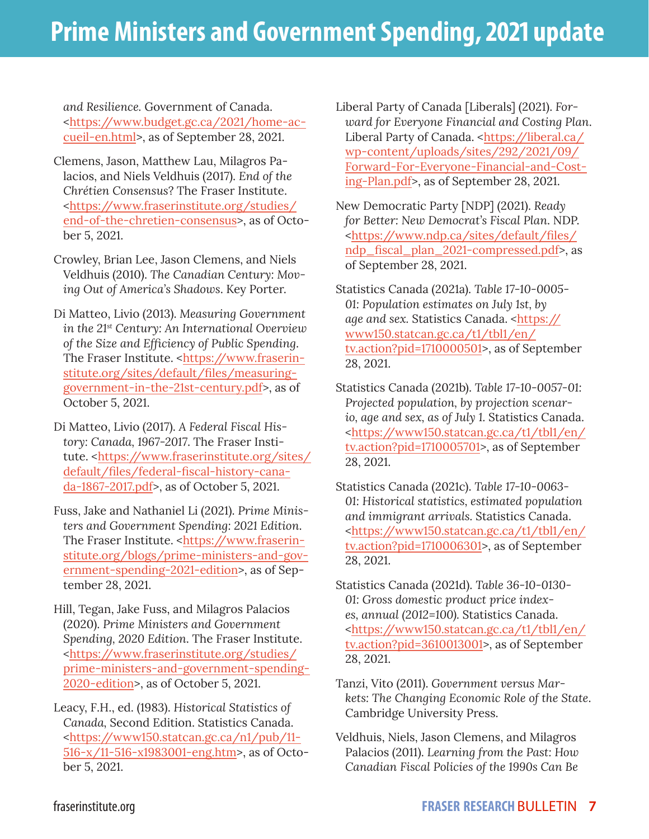*and Resilience.* Government of Canada. <[https://www.budget.gc.ca/2021/home-ac](https://www.budget.gc.ca/2021/home-accueil-en.html)[cueil-en.html](https://www.budget.gc.ca/2021/home-accueil-en.html)>, as of September 28, 2021.

- Clemens, Jason, Matthew Lau, Milagros Palacios, and Niels Veldhuis (2017). *End of the Chrétien Consensus*? The Fraser Institute. <https://www.fraserinstitute.org/studies/ end-of-the-chretien-consensus>, as of October 5, 2021.
- Crowley, Brian Lee, Jason Clemens, and Niels Veldhuis (2010). *The Canadian Century: Moving Out of America's Shadows*. Key Porter.
- Di Matteo, Livio (2013). *Measuring Government in the 21st Century: An International Overview of the Size and Efficiency of Public Spending*. The Fraser Institute. <https://www.fraserinstitute.org/sites/default/files/measuringgovernment-in-the-21st-century.pdf>, as of October 5, 2021.
- Di Matteo, Livio (2017). *A Federal Fiscal History: Canada, 1967-2017*. The Fraser Institute. <https://www.fraserinstitute.org/sites/ default/files/federal-fiscal-history-canada-1867-2017.pdf>, as of October 5, 2021.
- Fuss, Jake and Nathaniel Li (2021). *Prime Ministers and Government Spending: 2021 Edition*. The Fraser Institute. <[https://www.fraserin](https://www.fraserinstitute.org/blogs/prime-ministers-and-government-spending-2021-edition)[stitute.org/blogs/prime-ministers-and-gov](https://www.fraserinstitute.org/blogs/prime-ministers-and-government-spending-2021-edition)[ernment-spending-2021-edition>](https://www.fraserinstitute.org/blogs/prime-ministers-and-government-spending-2021-edition), as of September 28, 2021.
- Hill, Tegan, Jake Fuss, and Milagros Palacios (2020). *Prime Ministers and Government Spending, 2020 Edition*. The Fraser Institute. <https://www.fraserinstitute.org/studies/ prime-ministers-and-government-spending-2020-edition>, as of October 5, 2021.

Leacy, F.H., ed. (1983). *Historical Statistics of Canada,* Second Edition. Statistics Canada. <https://www150.statcan.gc.ca/n1/pub/11- 516-x/11-516-x1983001-eng.htm>, as of October 5, 2021.

Liberal Party of Canada [Liberals] (2021). *Forward for Everyone Financial and Costing Plan*. Liberal Party of Canada. [<https://liberal.ca/](https://liberal.ca/wp-content/uploads/sites/292/2021/09/Forward-For-Everyone-Financial-and-Costing-Plan.pdf) [wp-content/uploads/sites/292/2021/09/](https://liberal.ca/wp-content/uploads/sites/292/2021/09/Forward-For-Everyone-Financial-and-Costing-Plan.pdf) [Forward-For-Everyone-Financial-and-Cost](https://liberal.ca/wp-content/uploads/sites/292/2021/09/Forward-For-Everyone-Financial-and-Costing-Plan.pdf)[ing-Plan.pdf](https://liberal.ca/wp-content/uploads/sites/292/2021/09/Forward-For-Everyone-Financial-and-Costing-Plan.pdf)>, as of September 28, 2021.

New Democratic Party [NDP] (2021). *Ready for Better: New Democrat's Fiscal Plan*. NDP. <[https://www.ndp.ca/sites/default/files/](https://www.ndp.ca/sites/default/files/ndp_fiscal_plan_2021-compressed.pdf) [ndp\\_fiscal\\_plan\\_2021-compressed.pdf](https://www.ndp.ca/sites/default/files/ndp_fiscal_plan_2021-compressed.pdf)>, as of September 28, 2021.

Statistics Canada (2021a). *Table 17-10-0005- 01: Population estimates on July 1st, by age and sex.* Statistics Canada. *<*https:// www150.statcan.gc.ca/t1/tbl1/en/ tv.action?pid=1710000501>, as of September 28, 2021.

Statistics Canada (2021b). *Table 17-10-0057-01: Projected population, by projection scenario, age and sex, as of July 1.* Statistics Canada. *<*https://www150.statcan.gc.ca/t1/tbl1/en/ tv.action?pid=1710005701*>*, as of September 28, 2021.

Statistics Canada (2021c). *Table 17-10-0063- 01: Historical statistics, estimated population and immigrant arrivals.* Statistics Canada. <https://www150.statcan.gc.ca/t1/tbl1/en/ tv.action?pid=1710006301>, as of September 28, 2021.

- Statistics Canada (2021d). *Table 36-10-0130- 01: Gross domestic product price indexes, annual (2012=100).* Statistics Canada. <https://www150.statcan.gc.ca/t1/tbl1/en/ tv.action?pid=3610013001>, as of September 28, 2021.
- Tanzi, Vito (2011). *Government versus Markets: The Changing Economic Role of the State*. Cambridge University Press.
- Veldhuis, Niels, Jason Clemens, and Milagros Palacios (2011). *Learning from the Past: How Canadian Fiscal Policies of the 1990s Can Be*